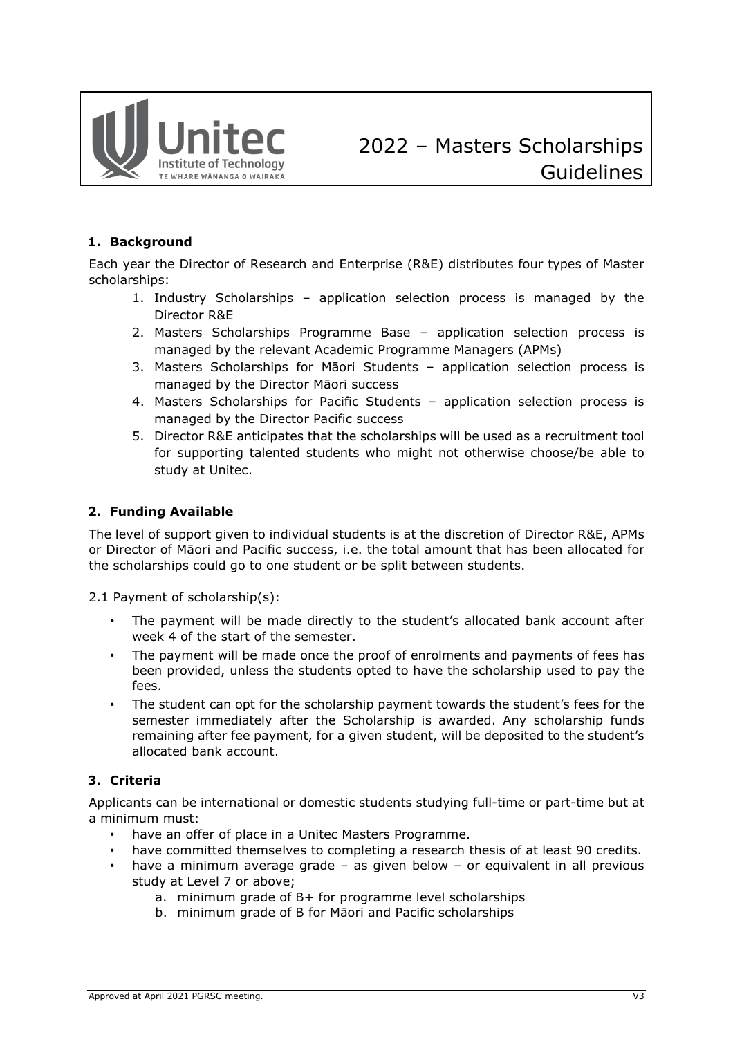

## **1. Background**

Each year the Director of Research and Enterprise (R&E) distributes four types of Master scholarships:

- 1. Industry Scholarships application selection process is managed by the Director R&E
- 2. Masters Scholarships Programme Base application selection process is managed by the relevant Academic Programme Managers (APMs)
- 3. Masters Scholarships for Māori Students application selection process is managed by the Director Māori success
- 4. Masters Scholarships for Pacific Students application selection process is managed by the Director Pacific success
- 5. Director R&E anticipates that the scholarships will be used as a recruitment tool for supporting talented students who might not otherwise choose/be able to study at Unitec.

#### **2. Funding Available**

The level of support given to individual students is at the discretion of Director R&E, APMs or Director of Māori and Pacific success, i.e. the total amount that has been allocated for the scholarships could go to one student or be split between students.

2.1 Payment of scholarship(s):

- The payment will be made directly to the student's allocated bank account after week 4 of the start of the semester.
- The payment will be made once the proof of enrolments and payments of fees has been provided, unless the students opted to have the scholarship used to pay the fees.
- The student can opt for the scholarship payment towards the student's fees for the semester immediately after the Scholarship is awarded. Any scholarship funds remaining after fee payment, for a given student, will be deposited to the student's allocated bank account.

### **3. Criteria**

Applicants can be international or domestic students studying full-time or part-time but at a minimum must:

- have an offer of place in a Unitec Masters Programme.
- have committed themselves to completing a research thesis of at least 90 credits.
- have a minimum average grade as given below or equivalent in all previous study at Level 7 or above;
	- a. minimum grade of B+ for programme level scholarships
	- b. minimum grade of B for Māori and Pacific scholarships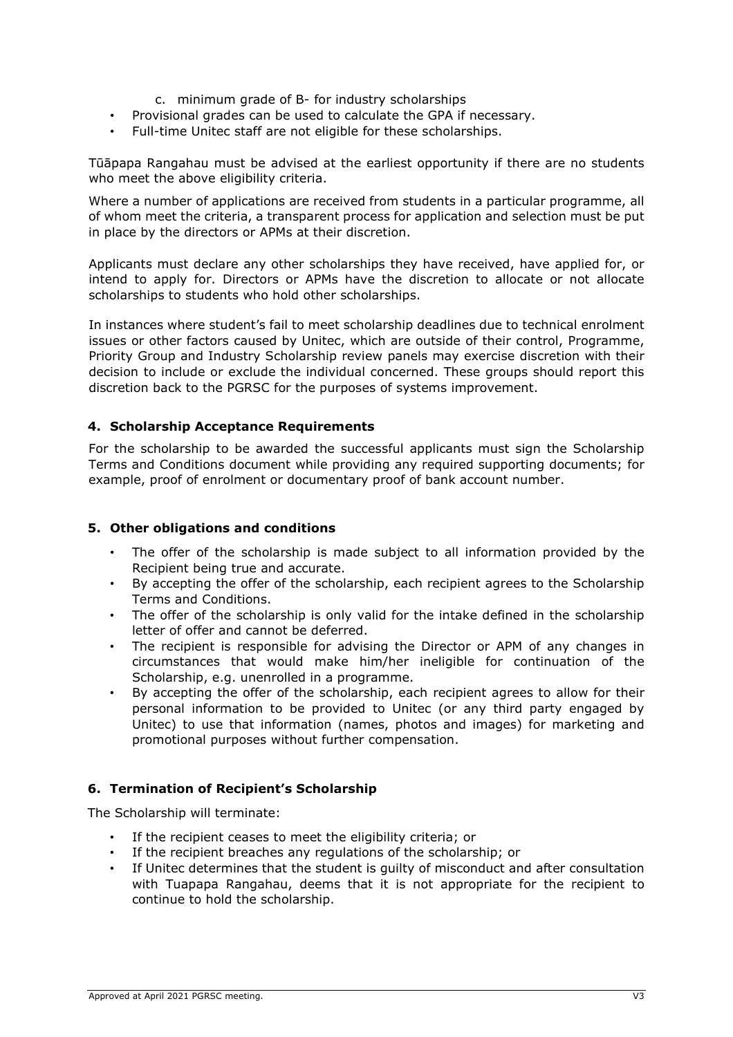- c. minimum grade of B- for industry scholarships
- Provisional grades can be used to calculate the GPA if necessary.
- Full-time Unitec staff are not eligible for these scholarships.

Tūāpapa Rangahau must be advised at the earliest opportunity if there are no students who meet the above eligibility criteria.

Where a number of applications are received from students in a particular programme, all of whom meet the criteria, a transparent process for application and selection must be put in place by the directors or APMs at their discretion.

Applicants must declare any other scholarships they have received, have applied for, or intend to apply for. Directors or APMs have the discretion to allocate or not allocate scholarships to students who hold other scholarships.

In instances where student's fail to meet scholarship deadlines due to technical enrolment issues or other factors caused by Unitec, which are outside of their control, Programme, Priority Group and Industry Scholarship review panels may exercise discretion with their decision to include or exclude the individual concerned. These groups should report this discretion back to the PGRSC for the purposes of systems improvement.

#### **4. Scholarship Acceptance Requirements**

For the scholarship to be awarded the successful applicants must sign the Scholarship Terms and Conditions document while providing any required supporting documents; for example, proof of enrolment or documentary proof of bank account number.

### **5. Other obligations and conditions**

- The offer of the scholarship is made subject to all information provided by the Recipient being true and accurate.
- By accepting the offer of the scholarship, each recipient agrees to the Scholarship Terms and Conditions.
- The offer of the scholarship is only valid for the intake defined in the scholarship letter of offer and cannot be deferred.
- The recipient is responsible for advising the Director or APM of any changes in circumstances that would make him/her ineligible for continuation of the Scholarship, e.g. unenrolled in a programme.
- By accepting the offer of the scholarship, each recipient agrees to allow for their personal information to be provided to Unitec (or any third party engaged by Unitec) to use that information (names, photos and images) for marketing and promotional purposes without further compensation.

### **6. Termination of Recipient's Scholarship**

The Scholarship will terminate:

- If the recipient ceases to meet the eligibility criteria; or
- If the recipient breaches any regulations of the scholarship; or
- If Unitec determines that the student is guilty of misconduct and after consultation with Tuapapa Rangahau, deems that it is not appropriate for the recipient to continue to hold the scholarship.